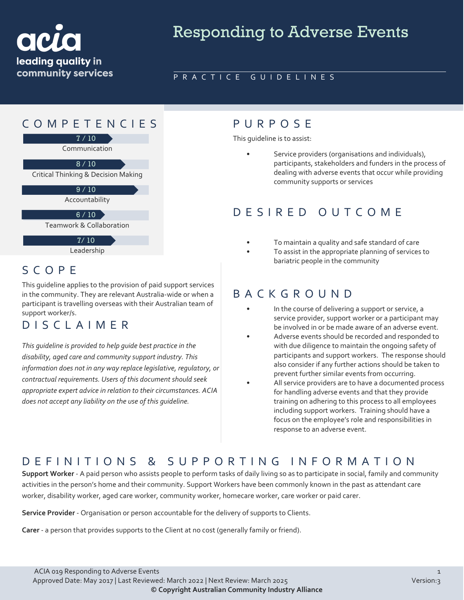

# Responding to Adverse Events

#### PRACTICE GUIDELINES

## COMPETENCIES PURPOS E



Communication

 $8/10$ 

Critical Thinking & Decision Making

Accountability  $9/10$ 

 $6 / 10$ 

Teamwork & Collaboration

Leadership 7/ 10

#### SCOPE

This guideline applies to the provision of paid support services in the community. They are relevant Australia-wide or when a participant is travelling overseas with their Australian team of support worker/s.

### DISCLAIMER

*This guideline is provided to help guide best practice in the disability, aged care and community support industry. This information does not in any way replace legislative, regulatory, or contractual requirements. Users of this document should seek appropriate expert advice in relation to their circumstances. ACIA does not accept any liability on the use of this guideline.*

This guideline is to assist:

Service providers (organisations and individuals), participants, stakeholders and funders in the process of dealing with adverse events that occur while providing community supports or services

#### DESIRED OUTCOME

- To maintain a quality and safe standard of care
- To assist in the appropriate planning of services to bariatric people in the community

#### BACKGROUND

- In the course of delivering a support or service, a service provider, support worker or a participant may be involved in or be made aware of an adverse event.
- Adverse events should be recorded and responded to with due diligence to maintain the ongoing safety of participants and support workers. The response should also consider if any further actions should be taken to prevent further similar events from occurring.
- All service providers are to have a documented process for handling adverse events and that they provide training on adhering to this process to all employees including support workers. Training should have a focus on the employee's role and responsibilities in response to an adverse event.

# DEFINITIONS & SUPPORTING INFORMATIO N

**Support Worker** - A paid person who assists people to perform tasks of daily living so as to participate in social, family and community activities in the person's home and their community. Support Workers have been commonly known in the past as attendant care worker, disability worker, aged care worker, community worker, homecare worker, care worker or paid carer.

**Service Provider** - Organisation or person accountable for the delivery of supports to Clients.

**Carer** - a person that provides supports to the Client at no cost (generally family or friend).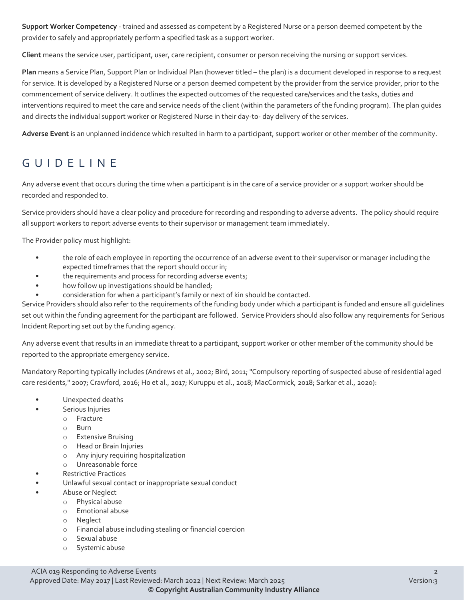**Support Worker Competency** - trained and assessed as competent by a Registered Nurse or a person deemed competent by the provider to safely and appropriately perform a specified task as a support worker.

**Client** means the service user, participant, user, care recipient, consumer or person receiving the nursing or support services.

**Plan** means a Service Plan, Support Plan or Individual Plan (however titled – the plan) is a document developed in response to a request for service. It is developed by a Registered Nurse or a person deemed competent by the provider from the service provider, prior to the commencement of service delivery. It outlines the expected outcomes of the requested care/services and the tasks, duties and interventions required to meet the care and service needs of the client (within the parameters of the funding program). The plan guides and directs the individual support worker or Registered Nurse in their day-to- day delivery of the services.

**Adverse Event** is an unplanned incidence which resulted in harm to a participant, support worker or other member of the community.

# GUIDELINE

Any adverse event that occurs during the time when a participant is in the care of a service provider or a support worker should be recorded and responded to.

Service providers should have a clear policy and procedure for recording and responding to adverse advents. The policy should require all support workers to report adverse events to their supervisor or management team immediately.

The Provider policy must highlight:

- the role of each employee in reporting the occurrence of an adverse event to their supervisor or manager including the expected timeframes that the report should occur in;
- the requirements and process for recording adverse events;
- how follow up investigations should be handled;
- consideration for when a participant's family or next of kin should be contacted.

Service Providers should also refer to the requirements of the funding body under which a participant is funded and ensure all guidelines set out within the funding agreement for the participant are followed. Service Providers should also follow any requirements for Serious Incident Reporting set out by the funding agency.

Any adverse event that results in an immediate threat to a participant, support worker or other member of the community should be reported to the appropriate emergency service.

Mandatory Reporting typically includes (Andrews et al., 2002; Bird, 2011; "Compulsory reporting of suspected abuse of residential aged care residents," 2007; Crawford, 2016; Ho et al., 2017; Kuruppu et al., 2018; MacCormick, 2018; Sarkar et al., 2020):

- Unexpected deaths
	- Serious Injuries
		- o Fracture
			- o Burn
			- o Extensive Bruising
		- o Head or Brain Injuries
		- o Any injury requiring hospitalization
		- o Unreasonable force
- Restrictive Practices
- Unlawful sexual contact or inappropriate sexual conduct
- Abuse or Neglect
	- o Physical abuse
		- o Emotional abuse
		- o Neglect
		- o Financial abuse including stealing or financial coercion
		- o Sexual abuse
		- o Systemic abuse